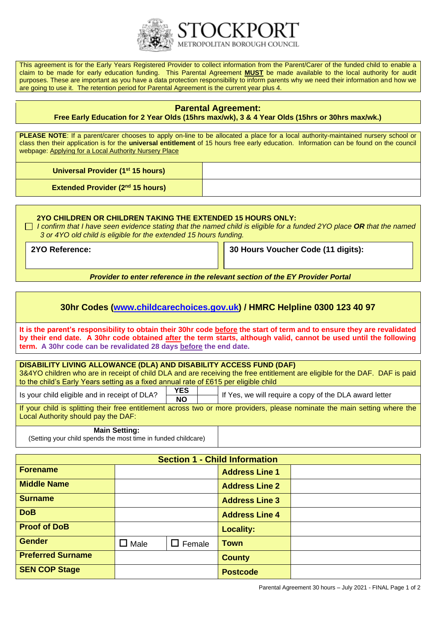

This agreement is for the Early Years Registered Provider to collect information from the Parent/Carer of the funded child to enable a claim to be made for early education funding. This Parental Agreement **MUST** be made available to the local authority for audit purposes. These are important as you have a data protection responsibility to inform parents why we need their information and how we are going to use it. The retention period for Parental Agreement is the current year plus 4.

# **Parental Agreement:**

### **Free Early Education for 2 Year Olds (15hrs max/wk), 3 & 4 Year Olds (15hrs or 30hrs max/wk.)**

**PLEASE NOTE:** If a parent/carer chooses to apply on-line to be allocated a place for a local authority-maintained nursery school or class then their application is for the **universal entitlement** of 15 hours free early education. Information can be found on the council webpage: [Applying for a Local Authority Nursery Place](https://assets.ctfassets.net/ii3xdrqc6nfw/4VH5KAaFUkOy2WCmoMcgi2/4aa1725e6bfd8d8f6e2fc145c26e5a18/Applying_for_a_nursery_place.pdf)

**Universal Provider (1 st 15 hours)**

**Extended Provider (2 nd 15 hours)**

### **2YO CHILDREN OR CHILDREN TAKING THE EXTENDED 15 HOURS ONLY:**

 *I confirm that I have seen evidence stating that the named child is eligible for a funded 2YO place OR that the named 3 or 4YO old child is eligible for the extended 15 hours funding.*

**2YO Reference: 30 Hours Voucher Code (11 digits):**

*Provider to enter reference in the relevant section of the EY Provider Portal*

# **30hr Codes [\(www.childcarechoices.gov.uk\)](http://www.childcarechoices.gov.uk/) / HMRC Helpline 0300 123 40 97**

**It is the parent's responsibility to obtain their 30hr code before the start of term and to ensure they are revalidated by their end date. A 30hr code obtained after the term starts, although valid, cannot be used until the following term. A 30hr code can be revalidated 28 days before the end date.**

# **DISABILITY LIVING ALLOWANCE (DLA) AND DISABILITY ACCESS FUND (DAF)** 3&4YO children who are in receipt of child DLA and are receiving the free entitlement are eligible for the DAF. DAF is paid to the child's Early Years setting as a fixed annual rate of £615 per eligible child Is your child eligible and in receipt of DLA? **YES** If Yes, we will require a copy of the DLA award letter

If your child is splitting their free entitlement across two or more providers, please nominate the main setting where the Local Authority should pay the DAF:

#### **Main Setting:**

(Setting your child spends the most time in funded childcare)

| <b>Section 1 - Child Information</b> |             |               |                       |  |  |
|--------------------------------------|-------------|---------------|-----------------------|--|--|
| <b>Forename</b>                      |             |               | <b>Address Line 1</b> |  |  |
| <b>Middle Name</b>                   |             |               | <b>Address Line 2</b> |  |  |
| <b>Surname</b>                       |             |               | <b>Address Line 3</b> |  |  |
| <b>DoB</b>                           |             |               | <b>Address Line 4</b> |  |  |
| <b>Proof of DoB</b>                  |             |               | <b>Locality:</b>      |  |  |
| <b>Gender</b>                        | $\Box$ Male | $\Box$ Female | <b>Town</b>           |  |  |
| <b>Preferred Surname</b>             |             |               | <b>County</b>         |  |  |
| <b>SEN COP Stage</b>                 |             |               | <b>Postcode</b>       |  |  |